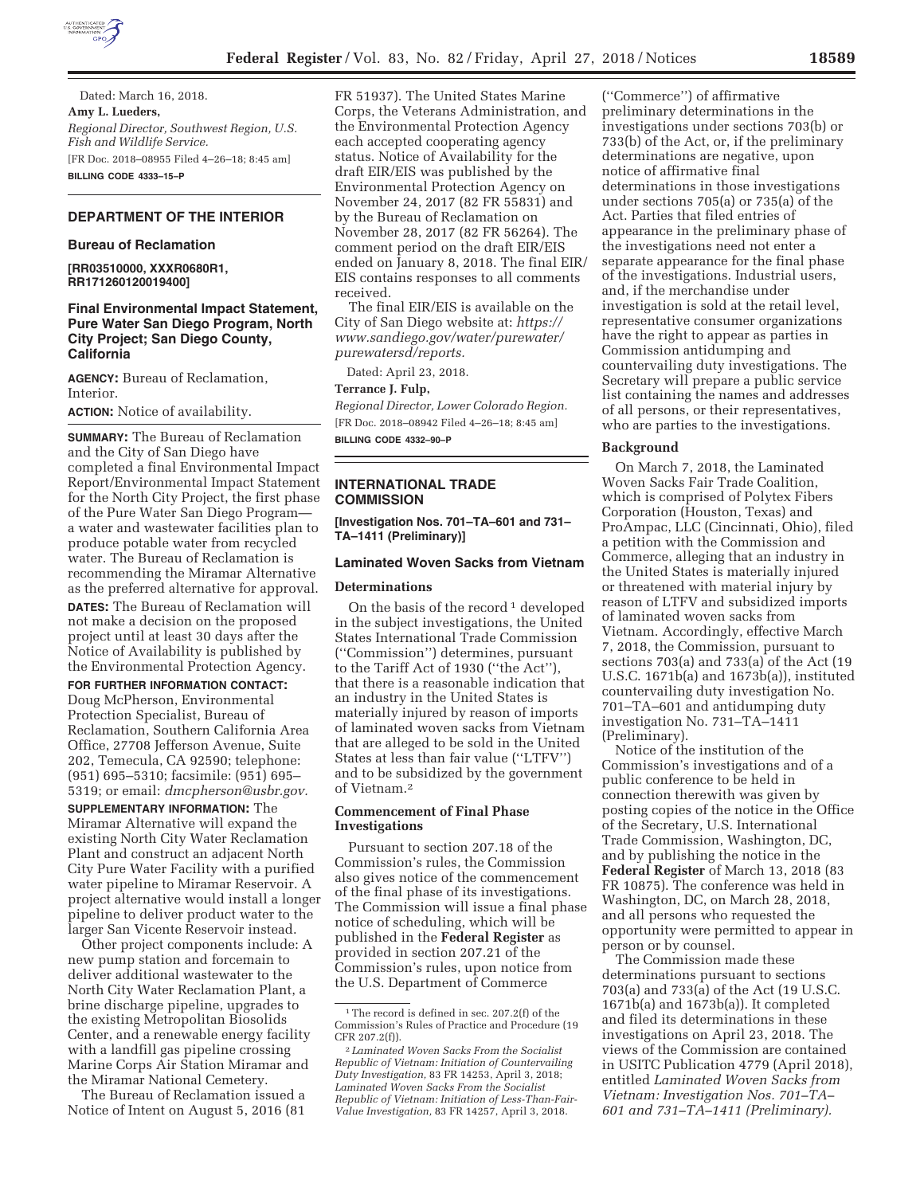

Dated: March 16, 2018. **Amy L. Lueders,**  *Regional Director, Southwest Region, U.S. Fish and Wildlife Service.*  [FR Doc. 2018–08955 Filed 4–26–18; 8:45 am] **BILLING CODE 4333–15–P** 

# **DEPARTMENT OF THE INTERIOR**

#### **Bureau of Reclamation**

**[RR03510000, XXXR0680R1, RR171260120019400]** 

# **Final Environmental Impact Statement, Pure Water San Diego Program, North City Project; San Diego County, California**

**AGENCY:** Bureau of Reclamation, Interior.

**ACTION:** Notice of availability.

**SUMMARY:** The Bureau of Reclamation and the City of San Diego have completed a final Environmental Impact Report/Environmental Impact Statement for the North City Project, the first phase of the Pure Water San Diego Program a water and wastewater facilities plan to produce potable water from recycled water. The Bureau of Reclamation is recommending the Miramar Alternative as the preferred alternative for approval.

**DATES:** The Bureau of Reclamation will not make a decision on the proposed project until at least 30 days after the Notice of Availability is published by the Environmental Protection Agency.

#### **FOR FURTHER INFORMATION CONTACT:**

Doug McPherson, Environmental Protection Specialist, Bureau of Reclamation, Southern California Area Office, 27708 Jefferson Avenue, Suite 202, Temecula, CA 92590; telephone: (951) 695–5310; facsimile: (951) 695– 5319; or email: *dmcpherson@usbr.gov.* 

**SUPPLEMENTARY INFORMATION:** The Miramar Alternative will expand the existing North City Water Reclamation Plant and construct an adjacent North City Pure Water Facility with a purified water pipeline to Miramar Reservoir. A project alternative would install a longer pipeline to deliver product water to the larger San Vicente Reservoir instead.

Other project components include: A new pump station and forcemain to deliver additional wastewater to the North City Water Reclamation Plant, a brine discharge pipeline, upgrades to the existing Metropolitan Biosolids Center, and a renewable energy facility with a landfill gas pipeline crossing Marine Corps Air Station Miramar and the Miramar National Cemetery.

The Bureau of Reclamation issued a Notice of Intent on August 5, 2016 (81

FR 51937). The United States Marine Corps, the Veterans Administration, and the Environmental Protection Agency each accepted cooperating agency status. Notice of Availability for the draft EIR/EIS was published by the Environmental Protection Agency on November 24, 2017 (82 FR 55831) and by the Bureau of Reclamation on November 28, 2017 (82 FR 56264). The comment period on the draft EIR/EIS ended on January 8, 2018. The final EIR/ EIS contains responses to all comments received.

The final EIR/EIS is available on the City of San Diego website at: *https:// www.sandiego.gov/water/purewater/ purewatersd/reports.* 

Dated: April 23, 2018.

#### **Terrance J. Fulp,**

*Regional Director, Lower Colorado Region.*  [FR Doc. 2018–08942 Filed 4–26–18; 8:45 am]

**BILLING CODE 4332–90–P** 

### **INTERNATIONAL TRADE COMMISSION**

**[Investigation Nos. 701–TA–601 and 731– TA–1411 (Preliminary)]** 

## **Laminated Woven Sacks from Vietnam**

### **Determinations**

On the basis of the record<sup>1</sup> developed in the subject investigations, the United States International Trade Commission (''Commission'') determines, pursuant to the Tariff Act of 1930 (''the Act''), that there is a reasonable indication that an industry in the United States is materially injured by reason of imports of laminated woven sacks from Vietnam that are alleged to be sold in the United States at less than fair value (''LTFV'') and to be subsidized by the government of Vietnam.2

### **Commencement of Final Phase Investigations**

Pursuant to section 207.18 of the Commission's rules, the Commission also gives notice of the commencement of the final phase of its investigations. The Commission will issue a final phase notice of scheduling, which will be published in the **Federal Register** as provided in section 207.21 of the Commission's rules, upon notice from the U.S. Department of Commerce

(''Commerce'') of affirmative preliminary determinations in the investigations under sections 703(b) or 733(b) of the Act, or, if the preliminary determinations are negative, upon notice of affirmative final determinations in those investigations under sections 705(a) or 735(a) of the Act. Parties that filed entries of appearance in the preliminary phase of the investigations need not enter a separate appearance for the final phase of the investigations. Industrial users, and, if the merchandise under investigation is sold at the retail level, representative consumer organizations have the right to appear as parties in Commission antidumping and countervailing duty investigations. The Secretary will prepare a public service list containing the names and addresses of all persons, or their representatives, who are parties to the investigations.

#### **Background**

On March 7, 2018, the Laminated Woven Sacks Fair Trade Coalition, which is comprised of Polytex Fibers Corporation (Houston, Texas) and ProAmpac, LLC (Cincinnati, Ohio), filed a petition with the Commission and Commerce, alleging that an industry in the United States is materially injured or threatened with material injury by reason of LTFV and subsidized imports of laminated woven sacks from Vietnam. Accordingly, effective March 7, 2018, the Commission, pursuant to sections 703(a) and 733(a) of the Act (19 U.S.C. 1671b(a) and 1673b(a)), instituted countervailing duty investigation No. 701–TA–601 and antidumping duty investigation No. 731–TA–1411 (Preliminary).

Notice of the institution of the Commission's investigations and of a public conference to be held in connection therewith was given by posting copies of the notice in the Office of the Secretary, U.S. International Trade Commission, Washington, DC, and by publishing the notice in the **Federal Register** of March 13, 2018 (83 FR 10875). The conference was held in Washington, DC, on March 28, 2018, and all persons who requested the opportunity were permitted to appear in person or by counsel.

The Commission made these determinations pursuant to sections 703(a) and 733(a) of the Act (19 U.S.C. 1671b(a) and 1673b(a)). It completed and filed its determinations in these investigations on April 23, 2018. The views of the Commission are contained in USITC Publication 4779 (April 2018), entitled *Laminated Woven Sacks from Vietnam: Investigation Nos. 701–TA– 601 and 731–TA–1411 (Preliminary).* 

 $^{\rm 1}\!$  The record is defined in sec. 207.2(f) of the Commission's Rules of Practice and Procedure (19 CFR 207.2(f)).

<sup>2</sup> *Laminated Woven Sacks From the Socialist Republic of Vietnam: Initiation of Countervailing Duty Investigation,* 83 FR 14253, April 3, 2018; *Laminated Woven Sacks From the Socialist Republic of Vietnam: Initiation of Less-Than-Fair-Value Investigation,* 83 FR 14257, April 3, 2018.